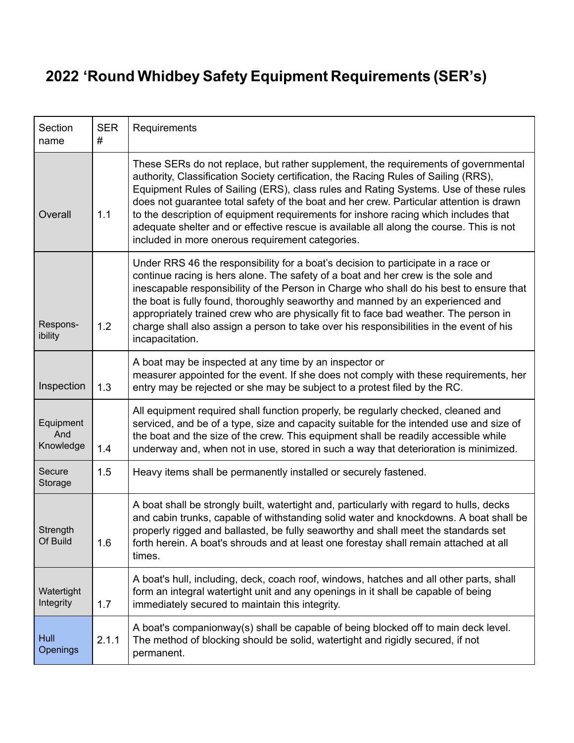## **2022 'Round Whidbey Safety Equipment Requirements (SER's)**

| Section<br>name               | <b>SER</b><br># | Requirements                                                                                                                                                                                                                                                                                                                                                                                                                                                                                                                                                                                       |
|-------------------------------|-----------------|----------------------------------------------------------------------------------------------------------------------------------------------------------------------------------------------------------------------------------------------------------------------------------------------------------------------------------------------------------------------------------------------------------------------------------------------------------------------------------------------------------------------------------------------------------------------------------------------------|
| Overall                       | 1.1             | These SERs do not replace, but rather supplement, the requirements of governmental<br>authority, Classification Society certification, the Racing Rules of Sailing (RRS),<br>Equipment Rules of Sailing (ERS), class rules and Rating Systems. Use of these rules<br>does not guarantee total safety of the boat and her crew. Particular attention is drawn<br>to the description of equipment requirements for inshore racing which includes that<br>adequate shelter and or effective rescue is available all along the course. This is not<br>included in more onerous requirement categories. |
| Respons-<br>ibility           | 1.2             | Under RRS 46 the responsibility for a boat's decision to participate in a race or<br>continue racing is hers alone. The safety of a boat and her crew is the sole and<br>inescapable responsibility of the Person in Charge who shall do his best to ensure that<br>the boat is fully found, thoroughly seaworthy and manned by an experienced and<br>appropriately trained crew who are physically fit to face bad weather. The person in<br>charge shall also assign a person to take over his responsibilities in the event of his<br>incapacitation.                                           |
| Inspection                    | 1.3             | A boat may be inspected at any time by an inspector or<br>measurer appointed for the event. If she does not comply with these requirements, her<br>entry may be rejected or she may be subject to a protest filed by the RC.                                                                                                                                                                                                                                                                                                                                                                       |
| Equipment<br>And<br>Knowledge | 1.4             | All equipment required shall function properly, be regularly checked, cleaned and<br>serviced, and be of a type, size and capacity suitable for the intended use and size of<br>the boat and the size of the crew. This equipment shall be readily accessible while<br>underway and, when not in use, stored in such a way that deterioration is minimized.                                                                                                                                                                                                                                        |
| Secure<br>Storage             | 1.5             | Heavy items shall be permanently installed or securely fastened.                                                                                                                                                                                                                                                                                                                                                                                                                                                                                                                                   |
| Strength<br>Of Build          | 1.6             | A boat shall be strongly built, watertight and, particularly with regard to hulls, decks<br>and cabin trunks, capable of withstanding solid water and knockdowns. A boat shall be<br>properly rigged and ballasted, be fully seaworthy and shall meet the standards set<br>forth herein. A boat's shrouds and at least one forestay shall remain attached at all<br>times.                                                                                                                                                                                                                         |
| Watertight<br>Integrity       | 1.7             | A boat's hull, including, deck, coach roof, windows, hatches and all other parts, shall<br>form an integral watertight unit and any openings in it shall be capable of being<br>immediately secured to maintain this integrity.                                                                                                                                                                                                                                                                                                                                                                    |
| Hull<br>Openings              | 2.1.1           | A boat's companionway(s) shall be capable of being blocked off to main deck level.<br>The method of blocking should be solid, watertight and rigidly secured, if not<br>permanent.                                                                                                                                                                                                                                                                                                                                                                                                                 |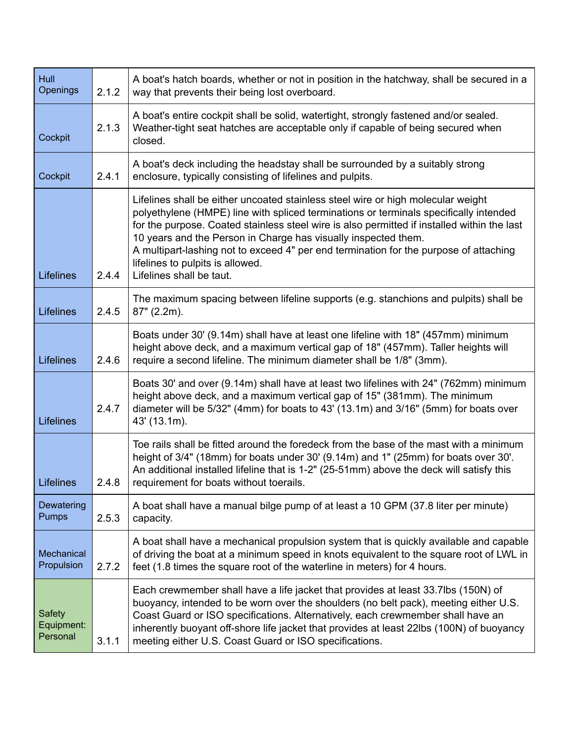| Hull<br>Openings                 | 2.1.2 | A boat's hatch boards, whether or not in position in the hatchway, shall be secured in a<br>way that prevents their being lost overboard.                                                                                                                                                                                                                                                                                                                                                           |
|----------------------------------|-------|-----------------------------------------------------------------------------------------------------------------------------------------------------------------------------------------------------------------------------------------------------------------------------------------------------------------------------------------------------------------------------------------------------------------------------------------------------------------------------------------------------|
| Cockpit                          | 2.1.3 | A boat's entire cockpit shall be solid, watertight, strongly fastened and/or sealed.<br>Weather-tight seat hatches are acceptable only if capable of being secured when<br>closed.                                                                                                                                                                                                                                                                                                                  |
| Cockpit                          | 2.4.1 | A boat's deck including the headstay shall be surrounded by a suitably strong<br>enclosure, typically consisting of lifelines and pulpits.                                                                                                                                                                                                                                                                                                                                                          |
| <b>Lifelines</b>                 | 2.4.4 | Lifelines shall be either uncoated stainless steel wire or high molecular weight<br>polyethylene (HMPE) line with spliced terminations or terminals specifically intended<br>for the purpose. Coated stainless steel wire is also permitted if installed within the last<br>10 years and the Person in Charge has visually inspected them.<br>A multipart-lashing not to exceed 4" per end termination for the purpose of attaching<br>lifelines to pulpits is allowed.<br>Lifelines shall be taut. |
| <b>Lifelines</b>                 | 2.4.5 | The maximum spacing between lifeline supports (e.g. stanchions and pulpits) shall be<br>$87"$ (2.2m).                                                                                                                                                                                                                                                                                                                                                                                               |
| <b>Lifelines</b>                 | 2.4.6 | Boats under 30' (9.14m) shall have at least one lifeline with 18" (457mm) minimum<br>height above deck, and a maximum vertical gap of 18" (457mm). Taller heights will<br>require a second lifeline. The minimum diameter shall be 1/8" (3mm).                                                                                                                                                                                                                                                      |
| <b>Lifelines</b>                 | 2.4.7 | Boats 30' and over (9.14m) shall have at least two lifelines with 24" (762mm) minimum<br>height above deck, and a maximum vertical gap of 15" (381mm). The minimum<br>diameter will be 5/32" (4mm) for boats to 43' (13.1m) and 3/16" (5mm) for boats over<br>43' (13.1m).                                                                                                                                                                                                                          |
| <b>Lifelines</b>                 | 2.4.8 | Toe rails shall be fitted around the foredeck from the base of the mast with a minimum<br>height of 3/4" (18mm) for boats under 30' (9.14m) and 1" (25mm) for boats over 30'.<br>An additional installed lifeline that is 1-2" (25-51mm) above the deck will satisfy this<br>requirement for boats without toerails.                                                                                                                                                                                |
| Dewatering<br>Pumps              | 2.5.3 | A boat shall have a manual bilge pump of at least a 10 GPM (37.8 liter per minute)<br>capacity.                                                                                                                                                                                                                                                                                                                                                                                                     |
| Mechanical<br>Propulsion         | 2.7.2 | A boat shall have a mechanical propulsion system that is quickly available and capable<br>of driving the boat at a minimum speed in knots equivalent to the square root of LWL in<br>feet (1.8 times the square root of the waterline in meters) for 4 hours.                                                                                                                                                                                                                                       |
| Safety<br>Equipment:<br>Personal | 3.1.1 | Each crewmember shall have a life jacket that provides at least 33.7lbs (150N) of<br>buoyancy, intended to be worn over the shoulders (no belt pack), meeting either U.S.<br>Coast Guard or ISO specifications. Alternatively, each crewmember shall have an<br>inherently buoyant off-shore life jacket that provides at least 22lbs (100N) of buoyancy<br>meeting either U.S. Coast Guard or ISO specifications.                                                                                  |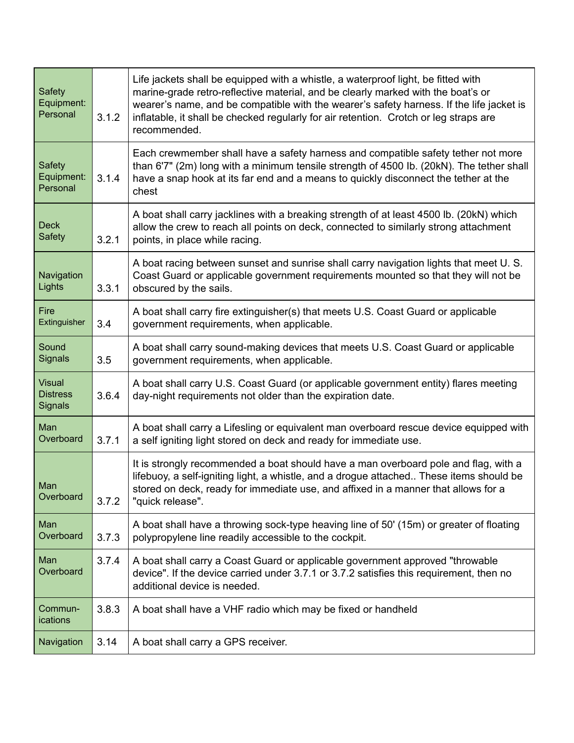| <b>Safety</b><br>Equipment:<br>Personal     | 3.1.2 | Life jackets shall be equipped with a whistle, a waterproof light, be fitted with<br>marine-grade retro-reflective material, and be clearly marked with the boat's or<br>wearer's name, and be compatible with the wearer's safety harness. If the life jacket is<br>inflatable, it shall be checked regularly for air retention. Crotch or leg straps are<br>recommended. |
|---------------------------------------------|-------|----------------------------------------------------------------------------------------------------------------------------------------------------------------------------------------------------------------------------------------------------------------------------------------------------------------------------------------------------------------------------|
| Safety<br>Equipment:<br>Personal            | 3.1.4 | Each crewmember shall have a safety harness and compatible safety tether not more<br>than 6'7" (2m) long with a minimum tensile strength of 4500 lb. (20kN). The tether shall<br>have a snap hook at its far end and a means to quickly disconnect the tether at the<br>chest                                                                                              |
| <b>Deck</b><br><b>Safety</b>                | 3.2.1 | A boat shall carry jacklines with a breaking strength of at least 4500 lb. (20kN) which<br>allow the crew to reach all points on deck, connected to similarly strong attachment<br>points, in place while racing.                                                                                                                                                          |
| Navigation<br><b>Lights</b>                 | 3.3.1 | A boat racing between sunset and sunrise shall carry navigation lights that meet U.S.<br>Coast Guard or applicable government requirements mounted so that they will not be<br>obscured by the sails.                                                                                                                                                                      |
| Fire<br>Extinguisher                        | 3.4   | A boat shall carry fire extinguisher(s) that meets U.S. Coast Guard or applicable<br>government requirements, when applicable.                                                                                                                                                                                                                                             |
| Sound<br><b>Signals</b>                     | 3.5   | A boat shall carry sound-making devices that meets U.S. Coast Guard or applicable<br>government requirements, when applicable.                                                                                                                                                                                                                                             |
| <b>Visual</b><br><b>Distress</b><br>Signals | 3.6.4 | A boat shall carry U.S. Coast Guard (or applicable government entity) flares meeting<br>day-night requirements not older than the expiration date.                                                                                                                                                                                                                         |
| Man<br>Overboard                            | 3.7.1 | A boat shall carry a Lifesling or equivalent man overboard rescue device equipped with<br>a self igniting light stored on deck and ready for immediate use.                                                                                                                                                                                                                |
| Man<br>Overboard                            | 3.7.2 | It is strongly recommended a boat should have a man overboard pole and flag, with a<br>lifebuoy, a self-igniting light, a whistle, and a drogue attached These items should be<br>stored on deck, ready for immediate use, and affixed in a manner that allows for a<br>"quick release".                                                                                   |
| Man<br>Overboard                            | 3.7.3 | A boat shall have a throwing sock-type heaving line of 50' (15m) or greater of floating<br>polypropylene line readily accessible to the cockpit.                                                                                                                                                                                                                           |
| Man<br>Overboard                            | 3.7.4 | A boat shall carry a Coast Guard or applicable government approved "throwable<br>device". If the device carried under 3.7.1 or 3.7.2 satisfies this requirement, then no<br>additional device is needed.                                                                                                                                                                   |
| Commun-<br>ications                         | 3.8.3 | A boat shall have a VHF radio which may be fixed or handheld                                                                                                                                                                                                                                                                                                               |
| Navigation                                  | 3.14  | A boat shall carry a GPS receiver.                                                                                                                                                                                                                                                                                                                                         |